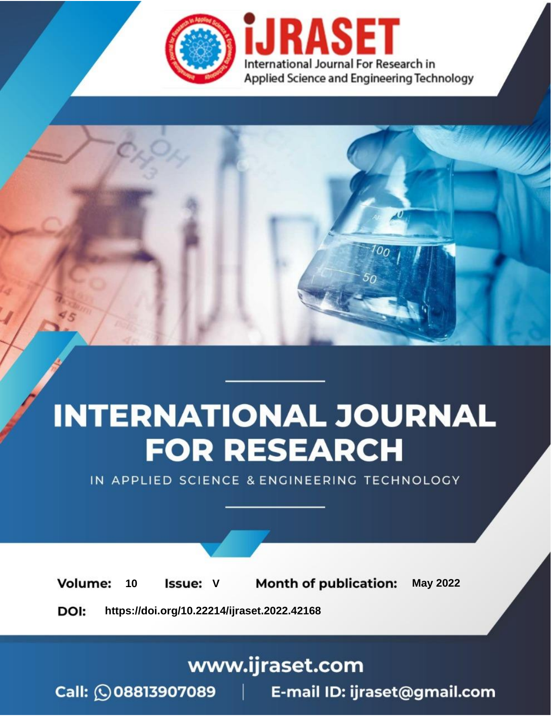

# **INTERNATIONAL JOURNAL FOR RESEARCH**

IN APPLIED SCIENCE & ENGINEERING TECHNOLOGY

Volume: **Month of publication: May 2022** 10 **Issue: V** 

DOI: https://doi.org/10.22214/ijraset.2022.42168

www.ijraset.com

Call: 008813907089 | E-mail ID: ijraset@gmail.com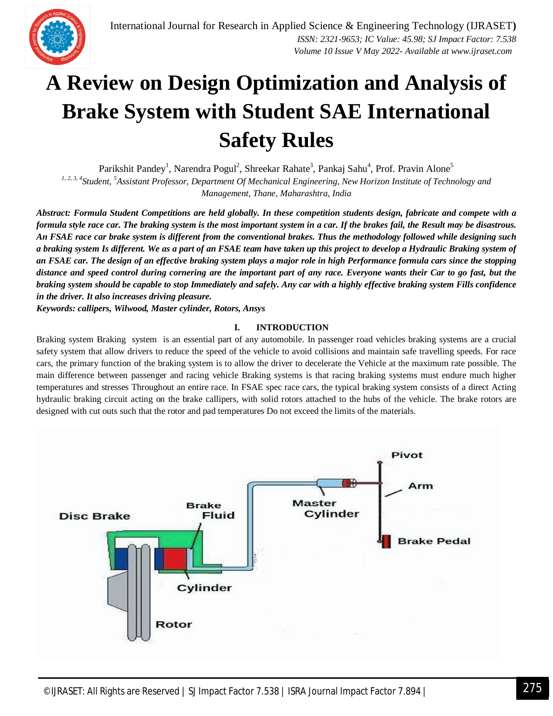

### **A Review on Design Optimization and Analysis of Brake System with Student SAE International Safety Rules**

Parikshit Pandey<sup>1</sup>, Narendra Pogul<sup>2</sup>, Shreekar Rahate<sup>3</sup>, Pankaj Sahu<sup>4</sup>, Prof. Pravin Alone<sup>5</sup> *1, 2, 3, 4Student, <sup>5</sup>Assistant Professor, Department Of Mechanical Engineering, New Horizon Institute of Technology and Management, Thane, Maharashtra, India*

*Abstract: Formula Student Competitions are held globally. In these competition students design, fabricate and compete with a formula style race car. The braking system is the most important system in a car. If the brakes fail, the Result may be disastrous. An FSAE race car brake system is different from the conventional brakes. Thus the methodology followed while designing such a braking system Is different. We as a part of an FSAE team have taken up this project to develop a Hydraulic Braking system of an FSAE car. The design of an effective braking system plays a major role in high Performance formula cars since the stopping distance and speed control during cornering are the important part of any race. Everyone wants their Car to go fast, but the braking system should be capable to stop Immediately and safely. Any car with a highly effective braking system Fills confidence in the driver. It also increases driving pleasure.*

*Keywords: callipers, Wilwood, Master cylinder, Rotors, Ansys* 

#### **I. INTRODUCTION**

Braking system Braking system is an essential part of any automobile. In passenger road vehicles braking systems are a crucial safety system that allow drivers to reduce the speed of the vehicle to avoid collisions and maintain safe travelling speeds. For race cars, the primary function of the braking system is to allow the driver to decelerate the Vehicle at the maximum rate possible. The main difference between passenger and racing vehicle Braking systems is that racing braking systems must endure much higher temperatures and stresses Throughout an entire race. In FSAE spec race cars, the typical braking system consists of a direct Acting hydraulic braking circuit acting on the brake callipers, with solid rotors attached to the hubs of the vehicle. The brake rotors are designed with cut outs such that the rotor and pad temperatures Do not exceed the limits of the materials.

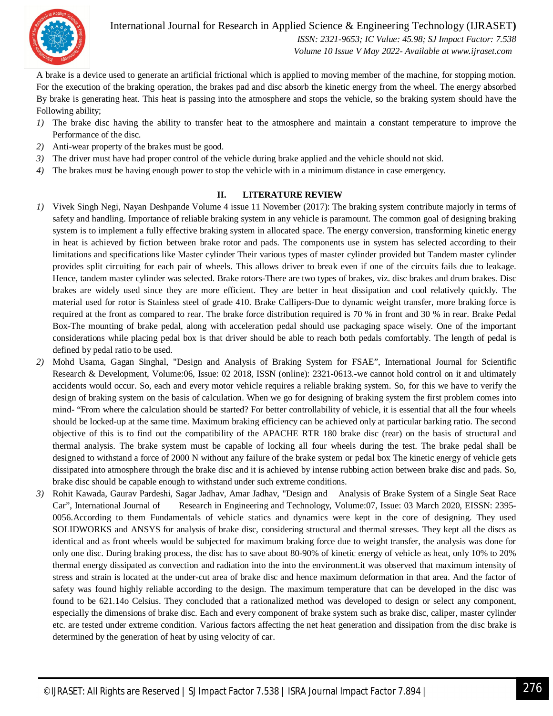

International Journal for Research in Applied Science & Engineering Technology (IJRASET**)**  *ISSN: 2321-9653; IC Value: 45.98; SJ Impact Factor: 7.538 Volume 10 Issue V May 2022- Available at www.ijraset.com*

A brake is a device used to generate an artificial frictional which is applied to moving member of the machine, for stopping motion. For the execution of the braking operation, the brakes pad and disc absorb the kinetic energy from the wheel. The energy absorbed By brake is generating heat. This heat is passing into the atmosphere and stops the vehicle, so the braking system should have the Following ability;

- *1)* The brake disc having the ability to transfer heat to the atmosphere and maintain a constant temperature to improve the Performance of the disc.
- *2)* Anti-wear property of the brakes must be good.
- *3)* The driver must have had proper control of the vehicle during brake applied and the vehicle should not skid.
- *4)* The brakes must be having enough power to stop the vehicle with in a minimum distance in case emergency.

#### **II. LITERATURE REVIEW**

- *1)* Vivek Singh Negi, Nayan Deshpande Volume 4 issue 11 November (2017): The braking system contribute majorly in terms of safety and handling. Importance of reliable braking system in any vehicle is paramount. The common goal of designing braking system is to implement a fully effective braking system in allocated space. The energy conversion, transforming kinetic energy in heat is achieved by fiction between brake rotor and pads. The components use in system has selected according to their limitations and specifications like Master cylinder Their various types of master cylinder provided but Tandem master cylinder provides split circuiting for each pair of wheels. This allows driver to break even if one of the circuits fails due to leakage. Hence, tandem master cylinder was selected. Brake rotors-There are two types of brakes, viz. disc brakes and drum brakes. Disc brakes are widely used since they are more efficient. They are better in heat dissipation and cool relatively quickly. The material used for rotor is Stainless steel of grade 410. Brake Callipers-Due to dynamic weight transfer, more braking force is required at the front as compared to rear. The brake force distribution required is 70 % in front and 30 % in rear. Brake Pedal Box-The mounting of brake pedal, along with acceleration pedal should use packaging space wisely. One of the important considerations while placing pedal box is that driver should be able to reach both pedals comfortably. The length of pedal is defined by pedal ratio to be used.
- *2)* Mohd Usama, Gagan Singhal, "Design and Analysis of Braking System for FSAE", International Journal for Scientific Research & Development, Volume:06, Issue: 02 2018, ISSN (online): 2321-0613.-we cannot hold control on it and ultimately accidents would occur. So, each and every motor vehicle requires a reliable braking system. So, for this we have to verify the design of braking system on the basis of calculation. When we go for designing of braking system the first problem comes into mind- "From where the calculation should be started? For better controllability of vehicle, it is essential that all the four wheels should be locked-up at the same time. Maximum braking efficiency can be achieved only at particular barking ratio. The second objective of this is to find out the compatibility of the APACHE RTR 180 brake disc (rear) on the basis of structural and thermal analysis. The brake system must be capable of locking all four wheels during the test. The brake pedal shall be designed to withstand a force of 2000 N without any failure of the brake system or pedal box The kinetic energy of vehicle gets dissipated into atmosphere through the brake disc and it is achieved by intense rubbing action between brake disc and pads. So, brake disc should be capable enough to withstand under such extreme conditions.
- *3)* Rohit Kawada, Gaurav Pardeshi, Sagar Jadhav, Amar Jadhav, "Design and Analysis of Brake System of a Single Seat Race Car", International Journal of Research in Engineering and Technology, Volume:07, Issue: 03 March 2020, EISSN: 2395- 0056.According to them Fundamentals of vehicle statics and dynamics were kept in the core of designing. They used SOLIDWORKS and ANSYS for analysis of brake disc, considering structural and thermal stresses. They kept all the discs as identical and as front wheels would be subjected for maximum braking force due to weight transfer, the analysis was done for only one disc. During braking process, the disc has to save about 80-90% of kinetic energy of vehicle as heat, only 10% to 20% thermal energy dissipated as convection and radiation into the into the environment.it was observed that maximum intensity of stress and strain is located at the under-cut area of brake disc and hence maximum deformation in that area. And the factor of safety was found highly reliable according to the design. The maximum temperature that can be developed in the disc was found to be 621.14o Celsius. They concluded that a rationalized method was developed to design or select any component, especially the dimensions of brake disc. Each and every component of brake system such as brake disc, caliper, master cylinder etc. are tested under extreme condition. Various factors affecting the net heat generation and dissipation from the disc brake is determined by the generation of heat by using velocity of car.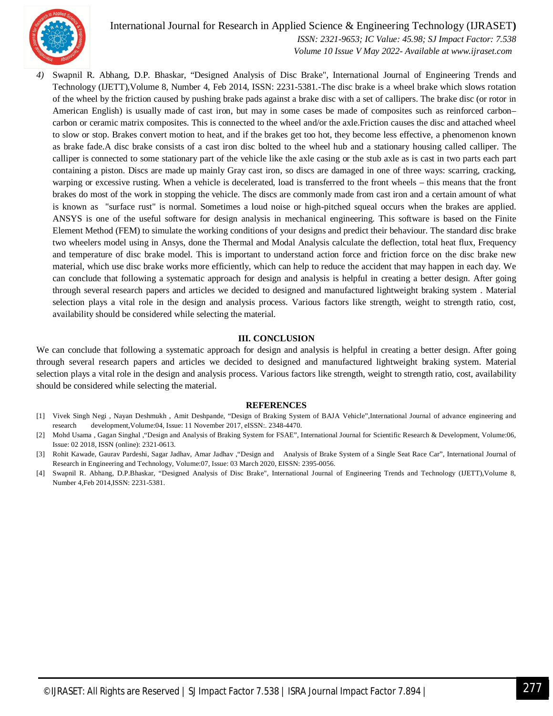

#### International Journal for Research in Applied Science & Engineering Technology (IJRASET**)**

 *ISSN: 2321-9653; IC Value: 45.98; SJ Impact Factor: 7.538 Volume 10 Issue V May 2022- Available at www.ijraset.com*

*4)* Swapnil R. Abhang, D.P. Bhaskar, "Designed Analysis of Disc Brake", International Journal of Engineering Trends and Technology (IJETT),Volume 8, Number 4, Feb 2014, ISSN: 2231-5381.-The disc brake is a wheel brake which slows rotation of the wheel by the friction caused by pushing brake pads against a brake disc with a set of callipers. The brake disc (or rotor in American English) is usually made of cast iron, but may in some cases be made of composites such as reinforced carbon– carbon or ceramic matrix composites. This is connected to the wheel and/or the axle.Friction causes the disc and attached wheel to slow or stop. Brakes convert motion to heat, and if the brakes get too hot, they become less effective, a phenomenon known as brake fade.A disc brake consists of a cast iron disc bolted to the wheel hub and a stationary housing called calliper. The calliper is connected to some stationary part of the vehicle like the axle casing or the stub axle as is cast in two parts each part containing a piston. Discs are made up mainly Gray cast iron, so discs are damaged in one of three ways: scarring, cracking, warping or excessive rusting. When a vehicle is decelerated, load is transferred to the front wheels – this means that the front brakes do most of the work in stopping the vehicle. The discs are commonly made from cast iron and a certain amount of what is known as "surface rust" is normal. Sometimes a loud noise or high-pitched squeal occurs when the brakes are applied. ANSYS is one of the useful software for design analysis in mechanical engineering. This software is based on the Finite Element Method (FEM) to simulate the working conditions of your designs and predict their behaviour. The standard disc brake two wheelers model using in Ansys, done the Thermal and Modal Analysis calculate the deflection, total heat flux, Frequency and temperature of disc brake model. This is important to understand action force and friction force on the disc brake new material, which use disc brake works more efficiently, which can help to reduce the accident that may happen in each day. We can conclude that following a systematic approach for design and analysis is helpful in creating a better design. After going through several research papers and articles we decided to designed and manufactured lightweight braking system . Material selection plays a vital role in the design and analysis process. Various factors like strength, weight to strength ratio, cost, availability should be considered while selecting the material.

#### **III. CONCLUSION**

We can conclude that following a systematic approach for design and analysis is helpful in creating a better design. After going through several research papers and articles we decided to designed and manufactured lightweight braking system. Material selection plays a vital role in the design and analysis process. Various factors like strength, weight to strength ratio, cost, availability should be considered while selecting the material.

#### **REFERENCES**

- [1] Vivek Singh Negi , Nayan Deshmukh , Amit Deshpande, "Design of Braking System of BAJA Vehicle",International Journal of advance engineering and research development,Volume:04, Issue: 11 November 2017, eISSN:. 2348-4470.
- [2] Mohd Usama , Gagan Singhal ,"Design and Analysis of Braking System for FSAE", International Journal for Scientific Research & Development, Volume:06, Issue: 02 2018, ISSN (online): 2321-0613.
- [3] Rohit Kawade, Gaurav Pardeshi, Sagar Jadhav, Amar Jadhav ,"Design and Analysis of Brake System of a Single Seat Race Car", International Journal of Research in Engineering and Technology, Volume:07, Issue: 03 March 2020, EISSN: 2395-0056.
- [4] Swapnil R. Abhang, D.P.Bhaskar, "Designed Analysis of Disc Brake", International Journal of Engineering Trends and Technology (IJETT),Volume 8, Number 4,Feb 2014,ISSN: 2231-5381.